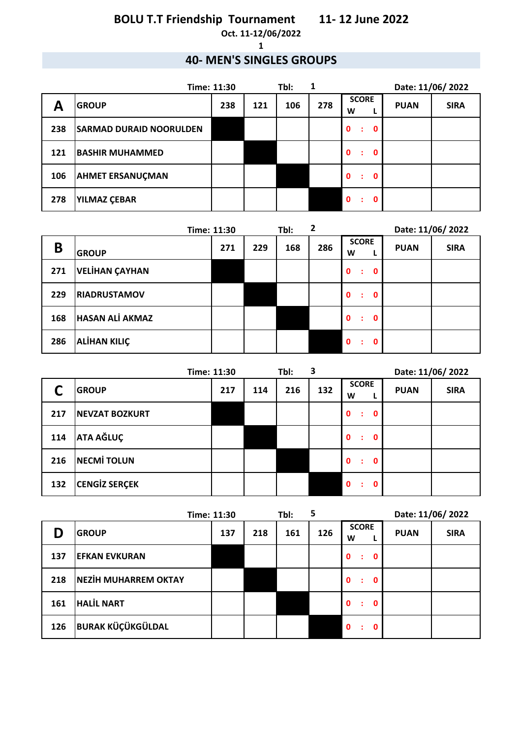**Oct. 11-12/06/2022**

**1**

### **40- MEN'S SINGLES GROUPS**

| Time: 11:30 |                                |     |     | Tbl: | 1   | Date: 11/06/2022       |             |             |  |
|-------------|--------------------------------|-----|-----|------|-----|------------------------|-------------|-------------|--|
| Α           | <b>GROUP</b>                   | 238 | 121 | 106  | 278 | <b>SCORE</b><br>W      | <b>PUAN</b> | <b>SIRA</b> |  |
| 238         | <b>SARMAD DURAID NOORULDEN</b> |     |     |      |     | $\mathbf 0$<br>0<br>÷  |             |             |  |
| 121         | <b>BASHIR MUHAMMED</b>         |     |     |      |     | $\mathbf{0}$<br>0<br>÷ |             |             |  |
| 106         | <b>AHMET ERSANUÇMAN</b>        |     |     |      |     | $\mathbf{0}$<br>0<br>÷ |             |             |  |
| 278         | <b>YILMAZ ÇEBAR</b>            |     |     |      |     | $\mathbf{0}$<br>0<br>÷ |             |             |  |

|     |                        | Time: 11:30 |     | Tbl: | 2   |                                  |             | Date: 11/06/2022 |
|-----|------------------------|-------------|-----|------|-----|----------------------------------|-------------|------------------|
| B   | <b>GROUP</b>           | 271         | 229 | 168  | 286 | <b>SCORE</b><br>W                | <b>PUAN</b> | <b>SIRA</b>      |
| 271 | VELİHAN ÇAYHAN         |             |     |      |     | $\mathbf 0$<br>$\mathbf 0$<br>÷  |             |                  |
| 229 | <b>RIADRUSTAMOV</b>    |             |     |      |     | $\mathbf{0}$<br>$\mathbf 0$<br>÷ |             |                  |
| 168 | <b>HASAN ALI AKMAZ</b> |             |     |      |     | $\mathbf 0$<br>0<br>÷            |             |                  |
| 286 | <b>ALİHAN KILIÇ</b>    |             |     |      |     | 0<br>$\mathbf{0}$<br>÷           |             |                  |

|     |                       | Time: 11:30 |     | Tbl: | 3   |                                   |             | Date: 11/06/2022 |
|-----|-----------------------|-------------|-----|------|-----|-----------------------------------|-------------|------------------|
|     | <b>GROUP</b>          | 217         | 114 | 216  | 132 | <b>SCORE</b><br>W                 | <b>PUAN</b> | <b>SIRA</b>      |
| 217 | <b>NEVZAT BOZKURT</b> |             |     |      |     | $\mathbf{0}$<br>$\mathbf 0$<br>÷  |             |                  |
| 114 | <b>ATA AĞLUÇ</b>      |             |     |      |     | $\mathbf{0}$<br>$\mathbf{0}$<br>÷ |             |                  |
| 216 | <b>NECMI TOLUN</b>    |             |     |      |     | $\mathbf 0$<br>$\mathbf 0$<br>÷   |             |                  |
| 132 | <b>CENGIZ SERÇEK</b>  |             |     |      |     | $\mathbf{0}$<br>$\mathbf 0$<br>÷  |             |                  |

| Time: 11:30 |                             |     | 5<br>Tbl: |     |     | Date: 11/06/2022       |             |             |
|-------------|-----------------------------|-----|-----------|-----|-----|------------------------|-------------|-------------|
|             | <b>GROUP</b>                | 137 | 218       | 161 | 126 | <b>SCORE</b><br>W      | <b>PUAN</b> | <b>SIRA</b> |
| 137         | <b>EFKAN EVKURAN</b>        |     |           |     |     | $\mathbf{0}$<br>0<br>÷ |             |             |
| 218         | <b>NEZİH MUHARREM OKTAY</b> |     |           |     |     | $\mathbf 0$<br>0       |             |             |
| 161         | <b>HALIL NART</b>           |     |           |     |     | $\mathbf 0$<br>0<br>÷  |             |             |
| 126         | <b>BURAK KÜÇÜKGÜLDAL</b>    |     |           |     |     | $\mathbf 0$<br>0       |             |             |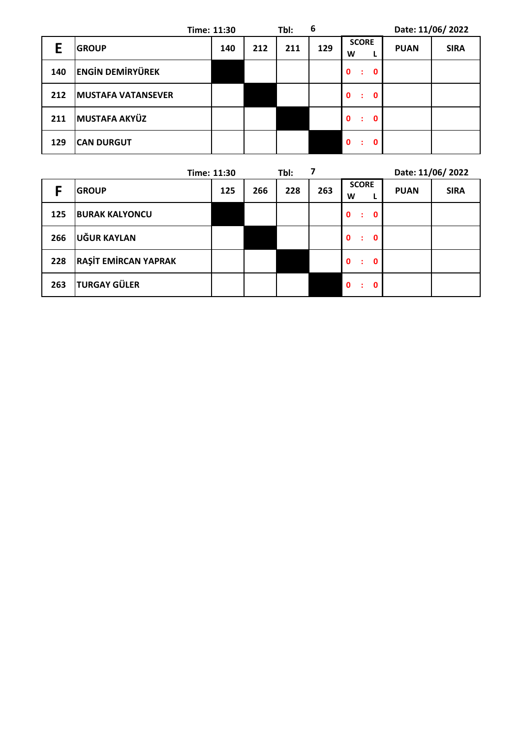|     |                           | Time: 11:30 |     | Tbl: | 6   |                                  |             | Date: 11/06/2022 |
|-----|---------------------------|-------------|-----|------|-----|----------------------------------|-------------|------------------|
| Е   | <b>GROUP</b>              | 140         | 212 | 211  | 129 | <b>SCORE</b><br>W                | <b>PUAN</b> | <b>SIRA</b>      |
| 140 | <b>ENGIN DEMIRYÜREK</b>   |             |     |      |     | $\mathbf{0}$<br>$\mathbf 0$<br>÷ |             |                  |
| 212 | <b>MUSTAFA VATANSEVER</b> |             |     |      |     | $\mathbf{0}$<br>0<br>÷           |             |                  |
| 211 | <b>MUSTAFA AKYÜZ</b>      |             |     |      |     | $\mathbf{0}$<br>- 0<br>÷         |             |                  |
| 129 | <b>CAN DURGUT</b>         |             |     |      |     | $\mathbf{0}$<br>0                |             |                  |

|     |                             | Time: 11:30 |     | Tbl: | 7   | Date: 11/06/2022                          |             |             |
|-----|-----------------------------|-------------|-----|------|-----|-------------------------------------------|-------------|-------------|
|     | <b>GROUP</b>                | 125         | 266 | 228  | 263 | <b>SCORE</b><br>W                         | <b>PUAN</b> | <b>SIRA</b> |
| 125 | <b>BURAK KALYONCU</b>       |             |     |      |     | $\mathbf{0}$<br>$\mathbf{0}$<br>÷         |             |             |
| 266 | UĞUR KAYLAN                 |             |     |      |     | $\mathbf{0}$<br>$\mathbf{0}$<br>$\cdot$ : |             |             |
| 228 | <b>RAŞİT EMİRCAN YAPRAK</b> |             |     |      |     | $\mathbf{0}$<br>- 0<br>÷                  |             |             |
| 263 | <b>TURGAY GÜLER</b>         |             |     |      |     | $\mathbf{0}$<br>$\mathbf{0}$<br>÷         |             |             |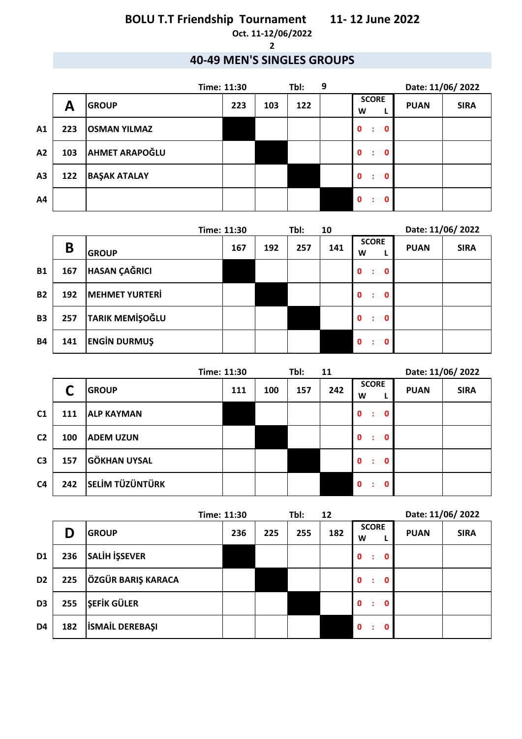#### **Oct. 11-12/06/2022 2**

### **40-49 MEN'S SINGLES GROUPS**

|                |     |                       | Time: 11:30 |     | Tbl: | 9 |                                   | Date: 11/06/2022 |             |
|----------------|-----|-----------------------|-------------|-----|------|---|-----------------------------------|------------------|-------------|
|                | A   | <b>GROUP</b>          | 223         | 103 | 122  |   | <b>SCORE</b><br>W                 | <b>PUAN</b>      | <b>SIRA</b> |
| A1             | 223 | <b>OSMAN YILMAZ</b>   |             |     |      |   | $\mathbf{0}$<br>$\mathbf{0}$<br>÷ |                  |             |
| A2             | 103 | <b>AHMET ARAPOĞLU</b> |             |     |      |   | $\mathbf{0}$<br>$\mathbf 0$<br>÷  |                  |             |
| A <sub>3</sub> | 122 | <b>BAŞAK ATALAY</b>   |             |     |      |   | $\mathbf{0}$<br>$\mathbf 0$<br>÷  |                  |             |
| A4             |     |                       |             |     |      |   | $\mathbf{0}$<br>0<br>÷            |                  |             |

|           |     |                        | Time: 11:30 |     | Tbl: | 10  |                                   | Date: 11/06/2022 |             |
|-----------|-----|------------------------|-------------|-----|------|-----|-----------------------------------|------------------|-------------|
|           | B   | <b>GROUP</b>           | 167         | 192 | 257  | 141 | <b>SCORE</b><br>W                 | <b>PUAN</b>      | <b>SIRA</b> |
| <b>B1</b> | 167 | <b>HASAN ÇAĞRICI</b>   |             |     |      |     | $\mathbf{0}$<br>$\mathbf{0}$<br>÷ |                  |             |
| <b>B2</b> | 192 | <b>MEHMET YURTERİ</b>  |             |     |      |     | $\mathbf{0}$<br>0<br>÷            |                  |             |
| <b>B3</b> | 257 | <b>TARIK MEMIŞOĞLU</b> |             |     |      |     | $\mathbf{0}$<br>0<br>÷            |                  |             |
| <b>B4</b> | 141 | <b>ENGIN DURMUŞ</b>    |             |     |      |     | $\mathbf{0}$<br>Ω                 |                  |             |

|                |     |                        | Time: 11:30 |     | Tbl:<br>11 |     | Date: 11/06/2022                 |             |             |
|----------------|-----|------------------------|-------------|-----|------------|-----|----------------------------------|-------------|-------------|
|                |     | <b>GROUP</b>           | 111         | 100 | 157        | 242 | <b>SCORE</b><br>W                | <b>PUAN</b> | <b>SIRA</b> |
| C <sub>1</sub> | 111 | <b>ALP KAYMAN</b>      |             |     |            |     | $\mathbf{0}$<br>$\mathbf 0$<br>÷ |             |             |
| C <sub>2</sub> | 100 | <b>ADEM UZUN</b>       |             |     |            |     | $\mathbf{0}$<br>$\mathbf 0$<br>÷ |             |             |
| C <sub>3</sub> | 157 | <b>GÖKHAN UYSAL</b>    |             |     |            |     | $\mathbf{0}$<br>$\mathbf 0$<br>÷ |             |             |
| C <sub>4</sub> | 242 | <b>SELİM TÜZÜNTÜRK</b> |             |     |            |     | $\mathbf{0}$<br>0<br>÷           |             |             |

| Time: 11:30    |     |                        | Tbl:<br>12 |     |     | Date: 11/06/2022 |                        |             |             |
|----------------|-----|------------------------|------------|-----|-----|------------------|------------------------|-------------|-------------|
|                | D   | <b>GROUP</b>           | 236        | 225 | 255 | 182              | <b>SCORE</b><br>W      | <b>PUAN</b> | <b>SIRA</b> |
| D <sub>1</sub> | 236 | <b>SALİH İŞSEVER</b>   |            |     |     |                  | $\mathbf 0$<br>0<br>÷  |             |             |
| D <sub>2</sub> | 225 | ÖZGÜR BARIŞ KARACA     |            |     |     |                  | $\mathbf{0}$<br>0<br>÷ |             |             |
| D <sub>3</sub> | 255 | <b>ŞEFİK GÜLER</b>     |            |     |     |                  | $\mathbf{0}$<br>0<br>÷ |             |             |
| D <sub>4</sub> | 182 | <b>İSMAİL DEREBAŞI</b> |            |     |     |                  | $\mathbf{0}$<br>0<br>÷ |             |             |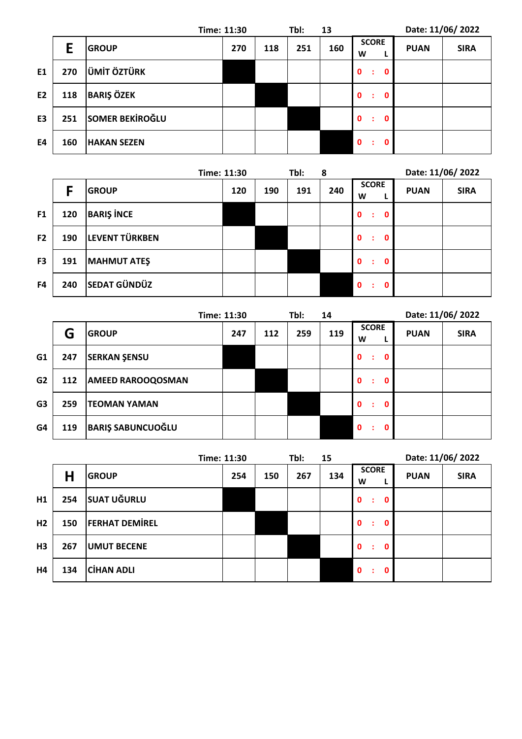|                |     |                        | Time: 11:30 |     | Tbl: | 13  |                                   | Date: 11/06/2022 |             |
|----------------|-----|------------------------|-------------|-----|------|-----|-----------------------------------|------------------|-------------|
|                | E   | <b>GROUP</b>           | 270         | 118 | 251  | 160 | <b>SCORE</b><br>W<br>ш            | <b>PUAN</b>      | <b>SIRA</b> |
| E <sub>1</sub> | 270 | <b>ÜMİT ÖZTÜRK</b>     |             |     |      |     | $\mathbf{0}$<br>$\mathbf 0$<br>÷  |                  |             |
| E <sub>2</sub> | 118 | <b>BARIŞ ÖZEK</b>      |             |     |      |     | $\mathbf{0}$<br>$\mathbf{0}$<br>÷ |                  |             |
| E <sub>3</sub> | 251 | <b>SOMER BEKIROĞLU</b> |             |     |      |     | $\mathbf{0}$<br>$\mathbf 0$<br>÷  |                  |             |
| E4             | 160 | <b>HAKAN SEZEN</b>     |             |     |      |     | $\mathbf{0}$<br>0                 |                  |             |

|                |     |                     | Time: 11:30 |     | Tbl: | 8   |                                  |             | Date: 11/06/2022 |
|----------------|-----|---------------------|-------------|-----|------|-----|----------------------------------|-------------|------------------|
|                | F   | <b>GROUP</b>        | 120         | 190 | 191  | 240 | <b>SCORE</b><br>W                | <b>PUAN</b> | <b>SIRA</b>      |
| F1             | 120 | <b>BARIŞ İNCE</b>   |             |     |      |     | $\mathbf{0}$<br>$\mathbf 0$<br>÷ |             |                  |
| F <sub>2</sub> | 190 | LEVENT TÜRKBEN      |             |     |      |     | $\mathbf{0}$<br>0<br>÷           |             |                  |
| F <sub>3</sub> | 191 | <b>MAHMUT ATEŞ</b>  |             |     |      |     | $\mathbf{0}$<br>0<br>÷           |             |                  |
| F4             | 240 | <b>SEDAT GÜNDÜZ</b> |             |     |      |     | $\mathbf{0}$<br>ŋ                |             |                  |

|                |     |                          | Time: 11:30 |     | Tbl: | 14  |                        | Date: 11/06/2022 |             |
|----------------|-----|--------------------------|-------------|-----|------|-----|------------------------|------------------|-------------|
|                | G   | <b>GROUP</b>             | 247         | 112 | 259  | 119 | <b>SCORE</b><br>W      | <b>PUAN</b>      | <b>SIRA</b> |
| G <sub>1</sub> | 247 | <b>SERKAN ŞENSU</b>      |             |     |      |     | $\mathbf{0}$<br>0<br>÷ |                  |             |
| G <sub>2</sub> | 112 | <b>AMEED RAROOQOSMAN</b> |             |     |      |     | $\mathbf{0}$<br>0<br>÷ |                  |             |
| G <sub>3</sub> | 259 | <b>TEOMAN YAMAN</b>      |             |     |      |     | $\mathbf{0}$<br>n<br>÷ |                  |             |
| G4             | 119 | <b>BARIŞ SABUNCUOĞLU</b> |             |     |      |     | $\mathbf{0}$<br>O<br>٠ |                  |             |

|                |     |                       | Time: 11:30 |     | Tbl: | 15  |                                   | Date: 11/06/2022 |             |
|----------------|-----|-----------------------|-------------|-----|------|-----|-----------------------------------|------------------|-------------|
|                | Н   | <b>GROUP</b>          | 254         | 150 | 267  | 134 | <b>SCORE</b><br>W                 | <b>PUAN</b>      | <b>SIRA</b> |
| H1             | 254 | <b>SUAT UĞURLU</b>    |             |     |      |     | $\mathbf{0}$<br>$\mathbf 0$<br>÷  |                  |             |
| H <sub>2</sub> | 150 | <b>FERHAT DEMIREL</b> |             |     |      |     | $\mathbf{0}$<br>$\mathbf 0$<br>÷  |                  |             |
| H3             | 267 | <b>UMUT BECENE</b>    |             |     |      |     | $\mathbf{0}$<br>$\mathbf{0}$<br>÷ |                  |             |
| Η4             | 134 | <b>CIHAN ADLI</b>     |             |     |      |     | $\mathbf{0}$<br>$\mathbf 0$<br>÷  |                  |             |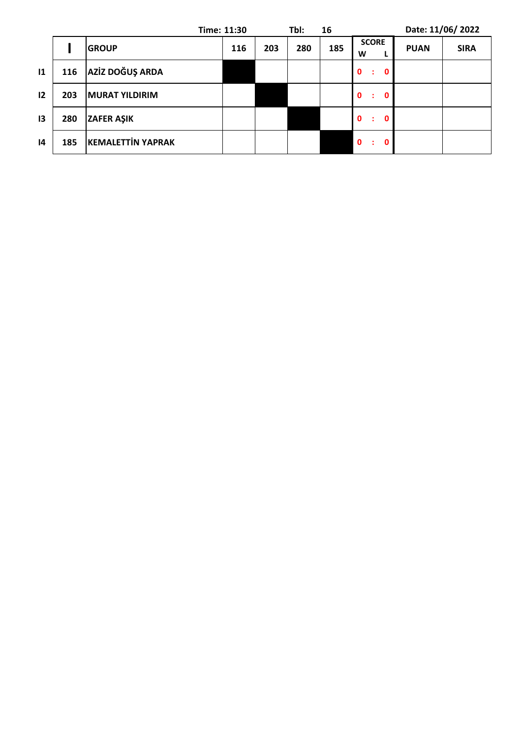|               |     |                          | Time: 11:30 |     | Tbl: | 16  |                                   | Date: 11/06/2022 |             |
|---------------|-----|--------------------------|-------------|-----|------|-----|-----------------------------------|------------------|-------------|
|               |     | <b>GROUP</b>             | 116         | 203 | 280  | 185 | <b>SCORE</b><br>W                 | <b>PUAN</b>      | <b>SIRA</b> |
| $\mathbf{11}$ | 116 | AZİZ DOĞUŞ ARDA          |             |     |      |     | $\mathbf{0}$<br>$\mathbf 0$<br>÷  |                  |             |
| 12            | 203 | <b>MURAT YILDIRIM</b>    |             |     |      |     | $\mathbf{0}$<br>$\mathbf{0}$<br>÷ |                  |             |
| 13            | 280 | <b>ZAFER AŞIK</b>        |             |     |      |     | $\mathbf{0}$<br>$\mathbf 0$<br>÷  |                  |             |
| 4             | 185 | <b>KEMALETTIN YAPRAK</b> |             |     |      |     | $\mathbf 0$<br>$\mathbf 0$<br>÷   |                  |             |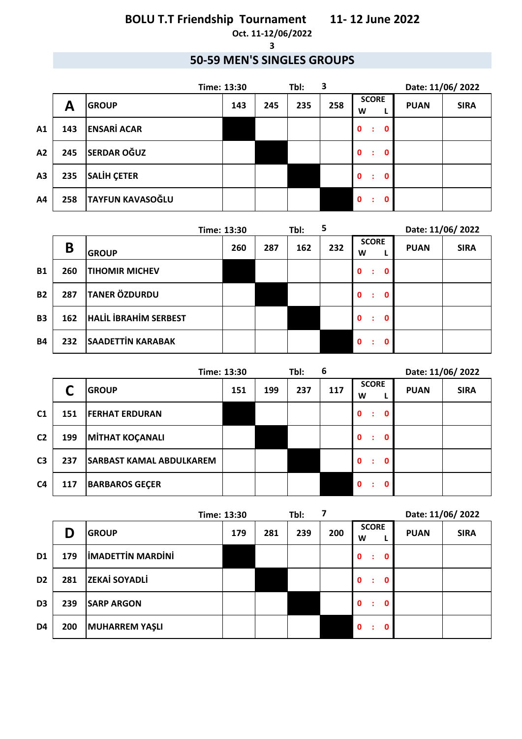#### **Oct. 11-12/06/2022 3**

### **50-59 MEN'S SINGLES GROUPS**

|    |     |                         | Time: 13:30 |     | Tbl: | 3   |                                  | Date: 11/06/2022 |             |
|----|-----|-------------------------|-------------|-----|------|-----|----------------------------------|------------------|-------------|
|    | A   | <b>GROUP</b>            | 143         | 245 | 235  | 258 | <b>SCORE</b><br>W                | <b>PUAN</b>      | <b>SIRA</b> |
| A1 | 143 | <b>ENSARİ ACAR</b>      |             |     |      |     | 0<br>$\mathbf 0$<br>÷            |                  |             |
| A2 | 245 | <b>SERDAR OĞUZ</b>      |             |     |      |     | $\mathbf{0}$<br>$\mathbf 0$<br>÷ |                  |             |
| A3 | 235 | <b>SALIH ÇETER</b>      |             |     |      |     | $\mathbf{0}$<br>$\mathbf 0$<br>÷ |                  |             |
| A4 | 258 | <b>TAYFUN KAVASOĞLU</b> |             |     |      |     | $\mathbf{0}$<br>0<br>÷           |                  |             |

| 5<br>Tbl:<br>Time: 13:30 |     |                              |     |     |     |     | Date: 11/06/2022                 |             |             |
|--------------------------|-----|------------------------------|-----|-----|-----|-----|----------------------------------|-------------|-------------|
|                          | B   | <b>GROUP</b>                 | 260 | 287 | 162 | 232 | <b>SCORE</b><br>W                | <b>PUAN</b> | <b>SIRA</b> |
| <b>B1</b>                | 260 | <b>TIHOMIR MICHEV</b>        |     |     |     |     | $\mathbf{0}$<br>$\mathbf 0$<br>÷ |             |             |
| <b>B2</b>                | 287 | <b>TANER ÖZDURDU</b>         |     |     |     |     | $\mathbf{0}$<br>$\mathbf 0$<br>÷ |             |             |
| <b>B3</b>                | 162 | <b>HALIL IBRAHIM SERBEST</b> |     |     |     |     | $\mathbf{0}$<br>$\mathbf 0$<br>÷ |             |             |
| <b>B4</b>                | 232 | <b>SAADETTIN KARABAK</b>     |     |     |     |     | $\mathbf{0}$<br>O                |             |             |

|                | Time: 13:30 |                                 |     |     | Tbl: | 6   |                        | Date: 11/06/2022 |             |
|----------------|-------------|---------------------------------|-----|-----|------|-----|------------------------|------------------|-------------|
|                |             | <b>GROUP</b>                    | 151 | 199 | 237  | 117 | <b>SCORE</b><br>W      | <b>PUAN</b>      | <b>SIRA</b> |
| C <sub>1</sub> | 151         | <b>FERHAT ERDURAN</b>           |     |     |      |     | $\mathbf{0}$<br>0<br>÷ |                  |             |
| C <sub>2</sub> | 199         | MITHAT KOÇANALI                 |     |     |      |     | $\mathbf{0}$<br>0      |                  |             |
| C <sub>3</sub> | 237         | <b>SARBAST KAMAL ABDULKAREM</b> |     |     |      |     | $\mathbf{0}$<br>0<br>÷ |                  |             |
| C <sub>4</sub> | 117         | <b>BARBAROS GECER</b>           |     |     |      |     | $\Omega$<br>0          |                  |             |

| Time: 13:30    |     |                          | Tbl: |     |     | Date: 11/06/2022 |                                  |             |             |
|----------------|-----|--------------------------|------|-----|-----|------------------|----------------------------------|-------------|-------------|
|                | D   | <b>GROUP</b>             | 179  | 281 | 239 | 200              | <b>SCORE</b><br>W                | <b>PUAN</b> | <b>SIRA</b> |
| D <sub>1</sub> | 179 | <b>IMADETTIN MARDINI</b> |      |     |     |                  | $\mathbf 0$<br>0<br>÷            |             |             |
| D <sub>2</sub> | 281 | <b>ZEKAİ SOYADLİ</b>     |      |     |     |                  | $\mathbf{0}$<br>0<br>÷           |             |             |
| D <sub>3</sub> | 239 | <b>SARP ARGON</b>        |      |     |     |                  | $\mathbf{0}$<br>$\mathbf 0$<br>÷ |             |             |
| D4             | 200 | <b>MUHARREM YAŞLI</b>    |      |     |     |                  | $\mathbf{0}$<br>0<br>÷           |             |             |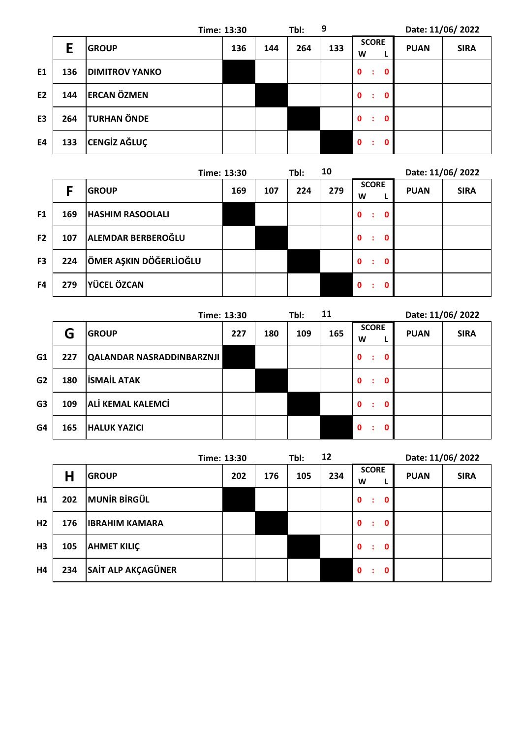|                |     |                       | Time: 13:30 |     | Tbl: | 9   |                                   | Date: 11/06/2022 |             |
|----------------|-----|-----------------------|-------------|-----|------|-----|-----------------------------------|------------------|-------------|
|                | E   | <b>GROUP</b>          | 136         | 144 | 264  | 133 | <b>SCORE</b><br>W<br>L.           | <b>PUAN</b>      | <b>SIRA</b> |
| E1             | 136 | <b>DIMITROV YANKO</b> |             |     |      |     | $\mathbf{0}$<br>$\mathbf 0$<br>÷  |                  |             |
| E <sub>2</sub> | 144 | <b>ERCAN ÖZMEN</b>    |             |     |      |     | $\mathbf{0}$<br>$\mathbf{0}$<br>÷ |                  |             |
| E <sub>3</sub> | 264 | <b>TURHAN ÖNDE</b>    |             |     |      |     | $\mathbf 0$<br>$\mathbf 0$<br>÷   |                  |             |
| E4             | 133 | <b>CENGIZ AĞLUÇ</b>   |             |     |      |     | $\mathbf{0}$<br>$\mathbf{0}$<br>÷ |                  |             |

|                |     |                         | Time: 13:30 |     | Tbl: | 10  |                                             | Date: 11/06/2022 |             |
|----------------|-----|-------------------------|-------------|-----|------|-----|---------------------------------------------|------------------|-------------|
|                |     | <b>GROUP</b>            | 169         | 107 | 224  | 279 | <b>SCORE</b><br>W                           | <b>PUAN</b>      | <b>SIRA</b> |
| F <sub>1</sub> | 169 | <b>HASHIM RASOOLALI</b> |             |     |      |     | $\mathbf{0}$<br>$\mathbf 0$<br>÷            |                  |             |
| F <sub>2</sub> | 107 | ALEMDAR BERBEROĞLU      |             |     |      |     | $\mathbf{0}$<br>$\mathbf 0$<br>$\mathbf{L}$ |                  |             |
| F <sub>3</sub> | 224 | ÖMER AŞKIN DÖĞERLİOĞLU  |             |     |      |     | $\mathbf{0}$<br>$\mathbf 0$<br>÷            |                  |             |
| F <sub>4</sub> | 279 | <b>YÜCEL ÖZCAN</b>      |             |     |      |     | $\mathbf{0}$<br>$\mathbf{0}$<br>t           |                  |             |

|                |     | Time: 13:30                      |     |     | Tbl: | 11  |                        | Date: 11/06/2022 |             |
|----------------|-----|----------------------------------|-----|-----|------|-----|------------------------|------------------|-------------|
|                | G   | <b>GROUP</b>                     | 227 | 180 | 109  | 165 | <b>SCORE</b><br>W      | <b>PUAN</b>      | <b>SIRA</b> |
| G <sub>1</sub> | 227 | <b>QALANDAR NASRADDINBARZNJI</b> |     |     |      |     | $\mathbf{0}$<br>0<br>÷ |                  |             |
| G <sub>2</sub> | 180 | <b>ISMAIL ATAK</b>               |     |     |      |     | $\mathbf{0}$<br>0<br>÷ |                  |             |
| G <sub>3</sub> | 109 | <b>ALI KEMAL KALEMCI</b>         |     |     |      |     | $\mathbf{0}$<br>O      |                  |             |
| G4             | 165 | <b>HALUK YAZICI</b>              |     |     |      |     | $\mathbf{0}$<br>0<br>÷ |                  |             |

|                |     |                       | Time: 13:30 |     | Tbl: | 12  |                                  | Date: 11/06/2022 |             |
|----------------|-----|-----------------------|-------------|-----|------|-----|----------------------------------|------------------|-------------|
|                | Н   | <b>GROUP</b>          | 202         | 176 | 105  | 234 | <b>SCORE</b><br>W                | <b>PUAN</b>      | <b>SIRA</b> |
| H1             | 202 | <b>MUNIR BIRGÜL</b>   |             |     |      |     | $\mathbf{0}$<br>$\mathbf 0$<br>÷ |                  |             |
| H <sub>2</sub> | 176 | <b>IBRAHIM KAMARA</b> |             |     |      |     | $\mathbf{0}$<br>$\mathbf 0$<br>÷ |                  |             |
| H3             | 105 | <b>AHMET KILIÇ</b>    |             |     |      |     | $\mathbf{0}$<br>$\mathbf 0$<br>÷ |                  |             |
| Η4             | 234 | SAİT ALP AKÇAGÜNER    |             |     |      |     | $\mathbf{0}$<br>0<br>÷           |                  |             |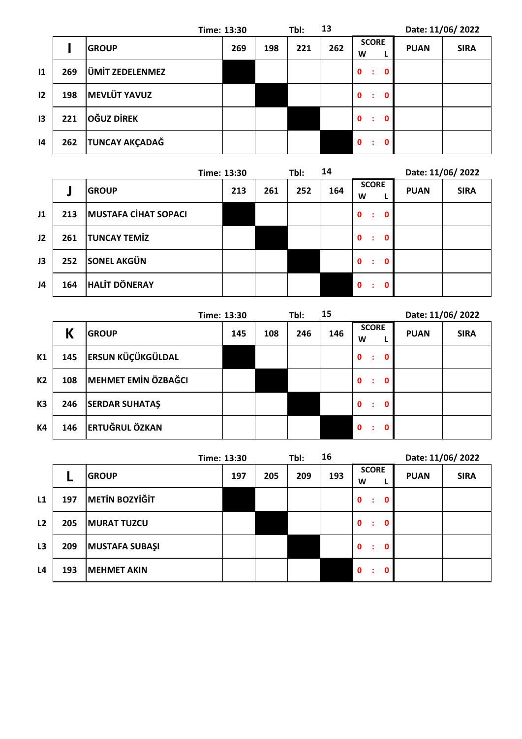|                 |     |                       | Time: 13:30 |     | Tbl: | 13  |                                   |             | Date: 11/06/2022 |
|-----------------|-----|-----------------------|-------------|-----|------|-----|-----------------------------------|-------------|------------------|
|                 |     | <b>GROUP</b>          | 269         | 198 | 221  | 262 | <b>SCORE</b><br>W                 | <b>PUAN</b> | <b>SIRA</b>      |
| 11              | 269 | ÜMİT ZEDELENMEZ       |             |     |      |     | $\mathbf 0$<br>$\mathbf 0$<br>÷   |             |                  |
| 12              | 198 | <b>MEVLÜT YAVUZ</b>   |             |     |      |     | $\mathbf{0}$<br>$\mathbf{0}$<br>÷ |             |                  |
| 13              | 221 | <b>OĞUZ DİREK</b>     |             |     |      |     | $\mathbf{0}$<br>0<br>÷            |             |                  |
| $\overline{14}$ | 262 | <b>TUNCAY AKÇADAĞ</b> |             |     |      |     | $\mathbf{0}$<br>0                 |             |                  |

|    |     |                             | Time: 13:30 |     | Tbl: | 14  |                                  |             | Date: 11/06/2022 |
|----|-----|-----------------------------|-------------|-----|------|-----|----------------------------------|-------------|------------------|
|    |     | <b>GROUP</b>                | 213         | 261 | 252  | 164 | <b>SCORE</b><br>W                | <b>PUAN</b> | <b>SIRA</b>      |
| J1 | 213 | <b>MUSTAFA CIHAT SOPACI</b> |             |     |      |     | $\mathbf{0}$<br>$\mathbf 0$<br>÷ |             |                  |
| J2 | 261 | <b>TUNCAY TEMIZ</b>         |             |     |      |     | $\mathbf{0}$<br>0<br>÷           |             |                  |
| J3 | 252 | <b>SONEL AKGÜN</b>          |             |     |      |     | $\mathbf{0}$<br>0<br>÷           |             |                  |
| J4 | 164 | <b>HALIT DÖNERAY</b>        |             |     |      |     | $\mathbf{0}$<br>O                |             |                  |

|                |     |                            | Time: 13:30 |     | Tbl: | 15  |                                  | Date: 11/06/2022 |             |
|----------------|-----|----------------------------|-------------|-----|------|-----|----------------------------------|------------------|-------------|
|                | К   | <b>GROUP</b>               | 145         | 108 | 246  | 146 | <b>SCORE</b><br>W                | <b>PUAN</b>      | <b>SIRA</b> |
| K1             | 145 | <b>ERSUN KÜÇÜKGÜLDAL</b>   |             |     |      |     | $\mathbf{0}$<br>$\mathbf 0$<br>÷ |                  |             |
| <b>K2</b>      | 108 | <b>MEHMET EMIN ÖZBAĞCI</b> |             |     |      |     | $\mathbf{0}$<br>$\mathbf 0$<br>÷ |                  |             |
| K <sub>3</sub> | 246 | <b>SERDAR SUHATAŞ</b>      |             |     |      |     | $\mathbf{0}$<br>$\mathbf 0$<br>÷ |                  |             |
| <b>K4</b>      | 146 | <b>ERTUĞRUL ÖZKAN</b>      |             |     |      |     | $\mathbf{0}$<br>0                |                  |             |

|    |     |                       | Time: 13:30 |     | Tbl: | 16  |                                   | Date: 11/06/2022 |             |
|----|-----|-----------------------|-------------|-----|------|-----|-----------------------------------|------------------|-------------|
|    |     | <b>GROUP</b>          | 197         | 205 | 209  | 193 | <b>SCORE</b><br>W                 | <b>PUAN</b>      | <b>SIRA</b> |
| L1 | 197 | <b>METIN BOZYIĞİT</b> |             |     |      |     | $\mathbf{0}$<br>$\mathbf 0$<br>÷  |                  |             |
| L2 | 205 | <b>MURAT TUZCU</b>    |             |     |      |     | $\mathbf{0}$<br>0<br>÷            |                  |             |
| L3 | 209 | <b>MUSTAFA SUBAŞI</b> |             |     |      |     | $\mathbf{0}$<br>$\mathbf{0}$<br>÷ |                  |             |
| L4 | 193 | <b>MEHMET AKIN</b>    |             |     |      |     | $\mathbf{0}$<br>0<br>÷            |                  |             |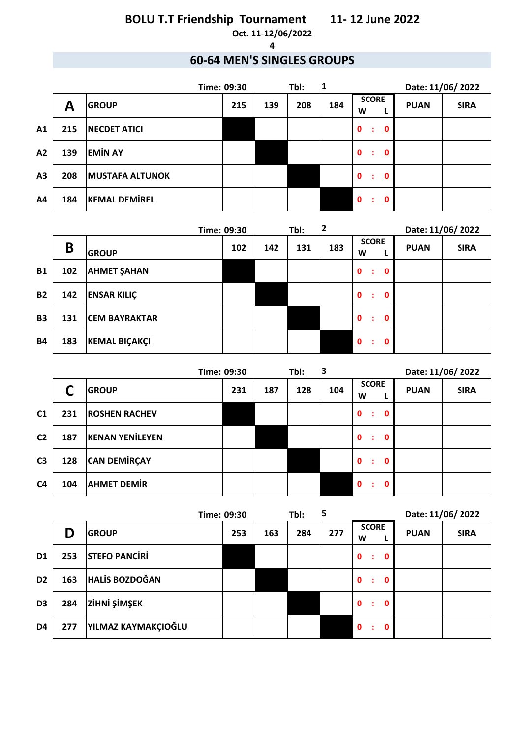**Oct. 11-12/06/2022 4**

### **60-64 MEN'S SINGLES GROUPS**

|                | 1<br>Tbl:<br>Time: 09:30 |                        |     |     |     | Date: 11/06/2022 |                                   |             |             |
|----------------|--------------------------|------------------------|-----|-----|-----|------------------|-----------------------------------|-------------|-------------|
|                | A                        | <b>GROUP</b>           | 215 | 139 | 208 | 184              | <b>SCORE</b><br>W                 | <b>PUAN</b> | <b>SIRA</b> |
| A <sub>1</sub> | 215                      | <b>NECDET ATICI</b>    |     |     |     |                  | $\mathbf{0}$<br>$\mathbf 0$<br>÷  |             |             |
| A2             | 139                      | <b>EMIN AY</b>         |     |     |     |                  | $\mathbf{0}$<br>$\mathbf{0}$<br>÷ |             |             |
| A3             | 208                      | <b>MUSTAFA ALTUNOK</b> |     |     |     |                  | $\mathbf{0}$<br>$\mathbf 0$<br>÷  |             |             |
| A4             | 184                      | <b>KEMAL DEMIREL</b>   |     |     |     |                  | $\mathbf{0}$<br>0                 |             |             |

| 2<br>Tbl:<br>Time: 09:30 |     |                      |     |     |     |     | Date: 11/06/2022                  |             |             |
|--------------------------|-----|----------------------|-----|-----|-----|-----|-----------------------------------|-------------|-------------|
|                          | B   | <b>GROUP</b>         | 102 | 142 | 131 | 183 | <b>SCORE</b><br>W                 | <b>PUAN</b> | <b>SIRA</b> |
| <b>B1</b>                | 102 | <b>AHMET ŞAHAN</b>   |     |     |     |     | $\mathbf{0}$<br>$\mathbf{0}$<br>÷ |             |             |
| <b>B2</b>                | 142 | <b>ENSAR KILIÇ</b>   |     |     |     |     | $\mathbf{0}$<br>$\mathbf 0$<br>÷  |             |             |
| <b>B3</b>                | 131 | <b>CEM BAYRAKTAR</b> |     |     |     |     | $\mathbf{0}$<br>$\mathbf{0}$<br>÷ |             |             |
| <b>B4</b>                | 183 | <b>KEMAL BIÇAKÇI</b> |     |     |     |     | $\mathbf{0}$<br>0<br>÷            |             |             |

| Time: 09:30    |     |                        |     |     | Tbl: | 3   |                                   | Date: 11/06/2022 |             |
|----------------|-----|------------------------|-----|-----|------|-----|-----------------------------------|------------------|-------------|
|                |     | <b>GROUP</b>           | 231 | 187 | 128  | 104 | <b>SCORE</b><br>W<br>L            | <b>PUAN</b>      | <b>SIRA</b> |
| C <sub>1</sub> | 231 | <b>ROSHEN RACHEV</b>   |     |     |      |     | $\mathbf{0}$<br>$\mathbf 0$<br>÷  |                  |             |
| C <sub>2</sub> | 187 | <b>KENAN YENİLEYEN</b> |     |     |      |     | $\mathbf{0}$<br>$\mathbf{0}$<br>÷ |                  |             |
| C <sub>3</sub> | 128 | <b>CAN DEMIRÇAY</b>    |     |     |      |     | $\mathbf{0}$<br>$\mathbf{0}$<br>÷ |                  |             |
| C <sub>4</sub> | 104 | <b>AHMET DEMIR</b>     |     |     |      |     | $\mathbf{0}$<br>0                 |                  |             |

| Time: 09:30    |     |                       | 5<br>Tbl: |     |     | Date: 11/06/2022 |                                  |             |             |
|----------------|-----|-----------------------|-----------|-----|-----|------------------|----------------------------------|-------------|-------------|
|                | D   | <b>GROUP</b>          | 253       | 163 | 284 | 277              | <b>SCORE</b><br>W                | <b>PUAN</b> | <b>SIRA</b> |
| D <sub>1</sub> | 253 | <b>STEFO PANCIRI</b>  |           |     |     |                  | $\mathbf 0$<br>0<br>÷            |             |             |
| D <sub>2</sub> | 163 | <b>HALIS BOZDOĞAN</b> |           |     |     |                  | $\mathbf{0}$<br>0<br>÷           |             |             |
| D <sub>3</sub> | 284 | <b>ZİHNİ ŞİMŞEK</b>   |           |     |     |                  | $\mathbf{0}$<br>$\mathbf 0$<br>÷ |             |             |
| D4             | 277 | YILMAZ KAYMAKÇIOĞLU   |           |     |     |                  | $\mathbf{0}$<br>0<br>÷           |             |             |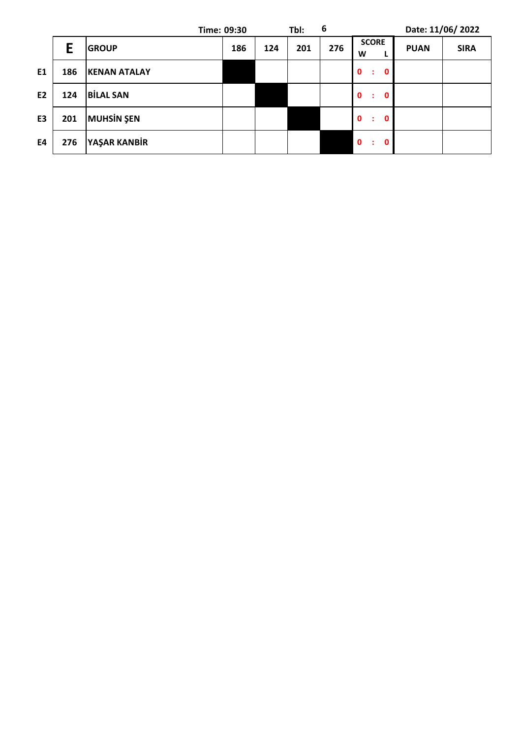|                |     |                     | Tbl:<br>Time: 09:30 |     | 6   |     |                                  | Date: 11/06/2022 |             |
|----------------|-----|---------------------|---------------------|-----|-----|-----|----------------------------------|------------------|-------------|
|                | E   | <b>GROUP</b>        | 186                 | 124 | 201 | 276 | <b>SCORE</b><br>W                | <b>PUAN</b>      | <b>SIRA</b> |
| E1             | 186 | <b>KENAN ATALAY</b> |                     |     |     |     | $\mathbf{0}$<br>$\mathbf 0$<br>÷ |                  |             |
| E <sub>2</sub> | 124 | <b>BILAL SAN</b>    |                     |     |     |     | $\mathbf{0}$<br>0<br>÷           |                  |             |
| E <sub>3</sub> | 201 | <b>MUHSIN ŞEN</b>   |                     |     |     |     | $\mathbf 0$<br>$\mathbf 0$<br>÷  |                  |             |
| E4             | 276 | YAŞAR KANBİR        |                     |     |     |     | $\mathbf{0}$<br>$\mathbf 0$<br>÷ |                  |             |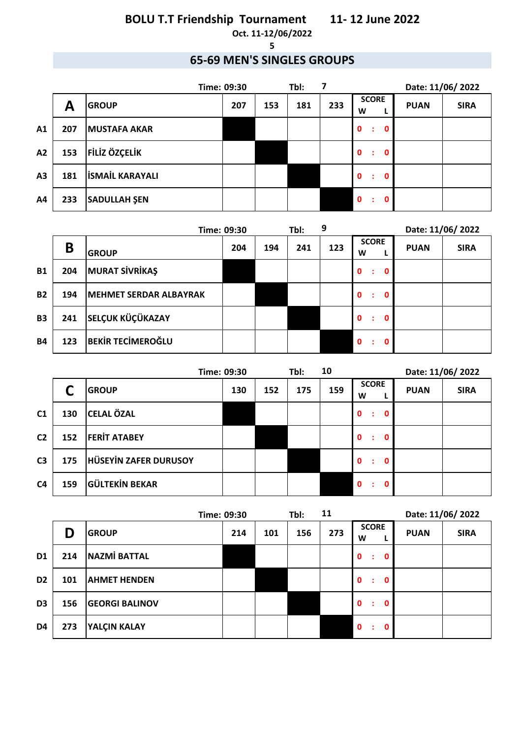**Oct. 11-12/06/2022 5**

### **65-69 MEN'S SINGLES GROUPS**

| Tbl:<br>Time: 09:30 |     |                        |     |     | Date: 11/06/2022 |     |                                   |             |             |
|---------------------|-----|------------------------|-----|-----|------------------|-----|-----------------------------------|-------------|-------------|
|                     | Α   | <b>GROUP</b>           | 207 | 153 | 181              | 233 | <b>SCORE</b><br>W                 | <b>PUAN</b> | <b>SIRA</b> |
| A <sub>1</sub>      | 207 | <b>MUSTAFA AKAR</b>    |     |     |                  |     | $\mathbf{0}$<br>$\mathbf 0$<br>÷  |             |             |
| A2                  | 153 | <b>FILIZ ÖZÇELIK</b>   |     |     |                  |     | $\mathbf{0}$<br>$\mathbf{0}$<br>÷ |             |             |
| A3                  | 181 | <b>ISMAIL KARAYALI</b> |     |     |                  |     | $\mathbf{0}$<br>$\mathbf{0}$<br>÷ |             |             |
| A4                  | 233 | <b>SADULLAH ŞEN</b>    |     |     |                  |     | $\mathbf{0}$<br>0<br>÷            |             |             |

|           |     | Time: 09:30                   |     |     | Tbl: | 9   |                                   | Date: 11/06/2022 |             |
|-----------|-----|-------------------------------|-----|-----|------|-----|-----------------------------------|------------------|-------------|
|           | B   | <b>GROUP</b>                  | 204 | 194 | 241  | 123 | <b>SCORE</b><br>W                 | <b>PUAN</b>      | <b>SIRA</b> |
| <b>B1</b> | 204 | <b>MURAT SİVRİKAŞ</b>         |     |     |      |     | $\mathbf{0}$<br>$\mathbf{0}$<br>÷ |                  |             |
| <b>B2</b> | 194 | <b>MEHMET SERDAR ALBAYRAK</b> |     |     |      |     | $\mathbf{0}$<br>$\mathbf 0$<br>÷  |                  |             |
| <b>B3</b> | 241 | <b>SELÇUK KÜÇÜKAZAY</b>       |     |     |      |     | $\mathbf{0}$<br>0<br>÷            |                  |             |
| <b>B4</b> | 123 | <b>BEKIR TECIMEROĞLU</b>      |     |     |      |     | $\mathbf 0$<br>0                  |                  |             |

| Time: 09:30    |     |                       |     |     | Tbl: | 10  |                                  | Date: 11/06/2022 |             |
|----------------|-----|-----------------------|-----|-----|------|-----|----------------------------------|------------------|-------------|
|                |     | <b>GROUP</b>          | 130 | 152 | 175  | 159 | <b>SCORE</b><br>W                | <b>PUAN</b>      | <b>SIRA</b> |
| C <sub>1</sub> | 130 | <b>CELAL ÖZAL</b>     |     |     |      |     | $\mathbf{0}$<br>$\mathbf 0$<br>÷ |                  |             |
| C <sub>2</sub> | 152 | <b>FERIT ATABEY</b>   |     |     |      |     | $\mathbf{0}$<br>0<br>÷           |                  |             |
| C <sub>3</sub> | 175 | HÜSEYIN ZAFER DURUSOY |     |     |      |     | $\mathbf{0}$<br>0<br>÷           |                  |             |
| C <sub>4</sub> | 159 | <b>GÜLTEKİN BEKAR</b> |     |     |      |     | $\mathbf{0}$<br>0                |                  |             |

| Time: 09:30    |     |                       | 11<br>Tbl: |     |     | Date: 11/06/2022 |                                  |             |             |
|----------------|-----|-----------------------|------------|-----|-----|------------------|----------------------------------|-------------|-------------|
|                | D   | <b>GROUP</b>          | 214        | 101 | 156 | 273              | <b>SCORE</b><br>W                | <b>PUAN</b> | <b>SIRA</b> |
| D <sub>1</sub> | 214 | <b>NAZMİ BATTAL</b>   |            |     |     |                  | $\mathbf{0}$<br>$\mathbf 0$<br>÷ |             |             |
| D <sub>2</sub> | 101 | <b>AHMET HENDEN</b>   |            |     |     |                  | $\mathbf{0}$<br>0<br>÷           |             |             |
| D <sub>3</sub> | 156 | <b>GEORGI BALINOV</b> |            |     |     |                  | $\mathbf{0}$<br>0<br>÷           |             |             |
| D4             | 273 | <b>YALÇIN KALAY</b>   |            |     |     |                  | $\mathbf{0}$<br>0                |             |             |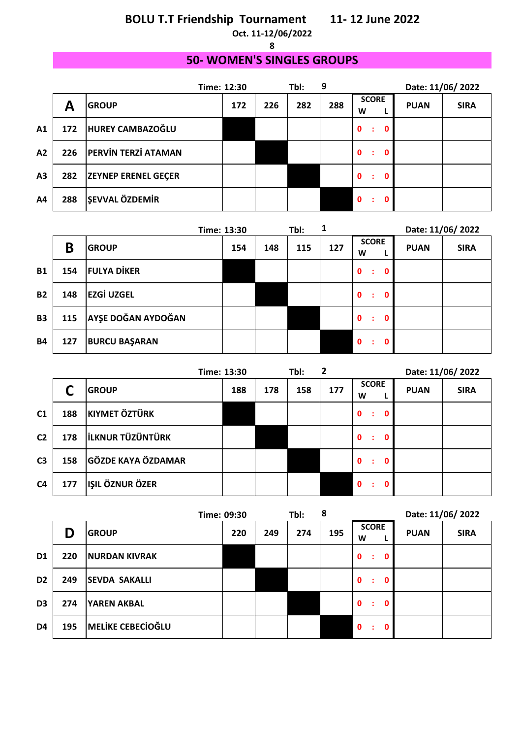**Oct. 11-12/06/2022 8**

### **50- WOMEN'S SINGLES GROUPS**

|                |     |                            | Time: 12:30 | 9<br>Tbl: |     |     |                        | Date: 11/06/2022 |             |  |
|----------------|-----|----------------------------|-------------|-----------|-----|-----|------------------------|------------------|-------------|--|
|                | A   | <b>GROUP</b>               | 172         | 226       | 282 | 288 | <b>SCORE</b><br>W      | <b>PUAN</b>      | <b>SIRA</b> |  |
| A <sub>1</sub> | 172 | HUREY CAMBAZOĞLU           |             |           |     |     | $\mathbf{0}$<br>0<br>÷ |                  |             |  |
| A2             | 226 | <b>PERVIN TERZI ATAMAN</b> |             |           |     |     | $\mathbf{0}$<br>0      |                  |             |  |
| A <sub>3</sub> | 282 | <b>ZEYNEP ERENEL GEÇER</b> |             |           |     |     | $\mathbf{0}$<br>0<br>÷ |                  |             |  |
| A4             | 288 | <b>ŞEVVAL ÖZDEMİR</b>      |             |           |     |     | $\mathbf{0}$           |                  |             |  |

|           |     |                      | Time: 13:30 |     | Tbl: | 1   |                                   | Date: 11/06/2022 |             |
|-----------|-----|----------------------|-------------|-----|------|-----|-----------------------------------|------------------|-------------|
|           | B   | <b>GROUP</b>         | 154         | 148 | 115  | 127 | <b>SCORE</b><br>W                 | <b>PUAN</b>      | <b>SIRA</b> |
| <b>B1</b> | 154 | <b>FULYA DİKER</b>   |             |     |      |     | $\mathbf{0}$<br>$\mathbf{0}$<br>÷ |                  |             |
| <b>B2</b> | 148 | <b>EZGİ UZGEL</b>    |             |     |      |     | $\mathbf{0}$<br>$\mathbf{0}$<br>÷ |                  |             |
| <b>B3</b> | 115 | AYŞE DOĞAN AYDOĞAN   |             |     |      |     | $\mathbf{0}$<br>$\mathbf{0}$<br>÷ |                  |             |
| <b>B4</b> | 127 | <b>BURCU BAŞARAN</b> |             |     |      |     | $\mathbf{0}$<br>0<br>÷            |                  |             |

| Time: 13:30    |     | 2<br>Tbl:                 |     |     | Date: 11/06/2022 |     |                        |             |             |
|----------------|-----|---------------------------|-----|-----|------------------|-----|------------------------|-------------|-------------|
|                |     | <b>GROUP</b>              | 188 | 178 | 158              | 177 | <b>SCORE</b><br>W      | <b>PUAN</b> | <b>SIRA</b> |
| C <sub>1</sub> | 188 | <b>KIYMET ÖZTÜRK</b>      |     |     |                  |     | $\mathbf{0}$<br>0<br>÷ |             |             |
| C <sub>2</sub> | 178 | <b>ILKNUR TÜZÜNTÜRK</b>   |     |     |                  |     | $\mathbf{0}$<br>0<br>÷ |             |             |
| C <sub>3</sub> | 158 | <b>GÖZDE KAYA ÖZDAMAR</b> |     |     |                  |     | $\mathbf{0}$<br>0<br>÷ |             |             |
| C <sub>4</sub> | 177 | IŞIL ÖZNUR ÖZER           |     |     |                  |     | $\mathbf{0}$<br>0      |             |             |

|                |     |                          | Tbl:<br>Time: 09:30 |     | 8   |     | Date: 11/06/2022                  |             |             |
|----------------|-----|--------------------------|---------------------|-----|-----|-----|-----------------------------------|-------------|-------------|
|                | D   | <b>GROUP</b>             | 220                 | 249 | 274 | 195 | <b>SCORE</b><br>W                 | <b>PUAN</b> | <b>SIRA</b> |
| D <sub>1</sub> | 220 | <b>NURDAN KIVRAK</b>     |                     |     |     |     | $\mathbf 0$<br>$\mathbf{0}$<br>÷  |             |             |
| D <sub>2</sub> | 249 | <b>SEVDA SAKALLI</b>     |                     |     |     |     | $\mathbf{0}$<br>$\mathbf{0}$<br>÷ |             |             |
| D <sub>3</sub> | 274 | <b>YAREN AKBAL</b>       |                     |     |     |     | $\mathbf{0}$<br>$\mathbf{0}$<br>÷ |             |             |
| D <sub>4</sub> | 195 | <b>MELIKE CEBECIOĞLU</b> |                     |     |     |     | $\mathbf 0$<br>$\mathbf{0}$<br>÷  |             |             |